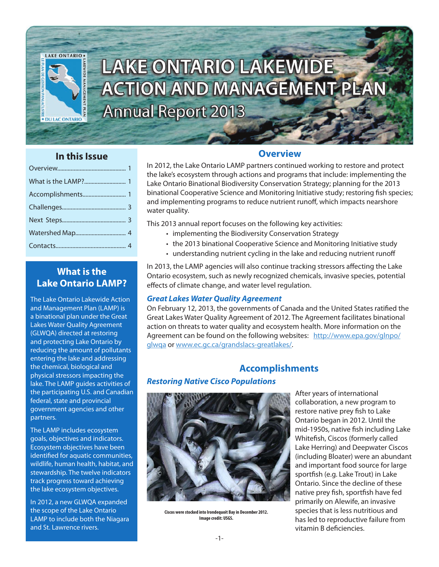

# LAKE ONTARIO LAKEWIDE **ACTION AND MANAGEMENT PLAN Annual Report 2013**

## **In this Issue**

## **What is the Lake Ontario LAMP?**

The Lake Ontario Lakewide Action and Management Plan (LAMP) is a binational plan under the Great Lakes Water Quality Agreement (GLWQA) directed at restoring and protecting Lake Ontario by reducing the amount of pollutants entering the lake and addressing the chemical, biological and physical stressors impacting the lake. The LAMP guides activities of the participating U.S. and Canadian federal, state and provincial government agencies and other partners.

The LAMP includes ecosystem goals, objectives and indicators. Ecosystem objectives have been identified for aquatic communities, wildlife, human health, habitat, and stewardship. The twelve indicators track progress toward achieving the lake ecosystem objectives.

In 2012, a new GLWQA expanded the scope of the Lake Ontario LAMP to include both the Niagara and St. Lawrence rivers.

## **Overview**

In 2012, the Lake Ontario LAMP partners continued working to restore and protect the lake's ecosystem through actions and programs that include: implementing the Lake Ontario Binational Biodiversity Conservation Strategy; planning for the 2013 binational Cooperative Science and Monitoring Initiative study; restoring fish species; and implementing programs to reduce nutrient runoff, which impacts nearshore water quality.

This 2013 annual report focuses on the following key activities:

- implementing the Biodiversity Conservation Strategy
- the 2013 binational Cooperative Science and Monitoring Initiative study
- understanding nutrient cycling in the lake and reducing nutrient runoff

In 2013, the LAMP agencies will also continue tracking stressors affecting the Lake Ontario ecosystem, such as newly recognized chemicals, invasive species, potential effects of climate change, and water level regulation.

#### *Great Lakes Water Quality Agreement*

On February 12, 2013, the governments of Canada and the United States ratified the Great Lakes Water Quality Agreement of 2012. The Agreement facilitates binational action on threats to water quality and ecosystem health. More information on the Agreement can be found on the following websites: http://www.epa.gov/glnpo/ glwqa or www.ec.gc.ca/grandslacs-greatlakes/.

## **Accomplishments**

#### *Restoring Native Cisco Populations*



**Ciscos were stocked into Irondequoit Bay in December 2012. Image credit: USGS.**

After years of international collaboration, a new program to restore native prey fish to Lake Ontario began in 2012. Until the mid-1950s, native fish including Lake Whitefish, Ciscos (formerly called Lake Herring) and Deepwater Ciscos (including Bloater) were an abundant and important food source for large sportfish (e.g. Lake Trout) in Lake Ontario. Since the decline of these native prey fish, sportfish have fed primarily on Alewife, an invasive species that is less nutritious and has led to reproductive failure from vitamin B deficiencies.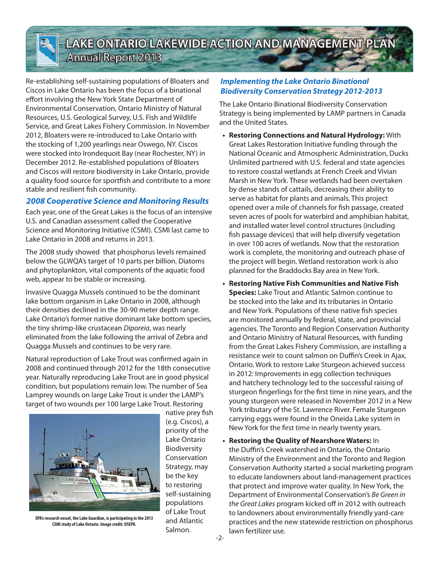

## **LAKE ONTARIO LAKEWIDE ACTION AND MANAGEMENT PLA Annual Report 2013**

Re-establishing self-sustaining populations of Bloaters and Ciscos in Lake Ontario has been the focus of a binational effort involving the New York State Department of Environmental Conservation, Ontario Ministry of Natural Resources, U.S. Geological Survey, U.S. Fish and Wildlife Service, and Great Lakes Fishery Commission. In November 2012, Bloaters were re-introduced to Lake Ontario with the stocking of 1,200 yearlings near Oswego, NY. Ciscos were stocked into Irondequoit Bay (near Rochester, NY) in December 2012. Re-established populations of Bloaters and Ciscos will restore biodiversity in Lake Ontario, provide a quality food source for sportfish and contribute to a more stable and resilient fish community.

#### *2008 Cooperative Science and Monitoring Results*

Each year, one of the Great Lakes is the focus of an intensive U.S. and Canadian assessment called the Cooperative Science and Monitoring Initiative (CSMI). CSMI last came to Lake Ontario in 2008 and returns in 2013.

The 2008 study showed that phosphorus levels remained below the GLWQA's target of 10 parts per billion. Diatoms and phytoplankton, vital components of the aquatic food web, appear to be stable or increasing.

Invasive Quagga Mussels continued to be the dominant lake bottom organism in Lake Ontario in 2008, although their densities declined in the 30-90 meter depth range. Lake Ontario's former native dominant lake bottom species, the tiny shrimp-like crustacean *Diporeia*, was nearly eliminated from the lake following the arrival of Zebra and Quagga Mussels and continues to be very rare.

Natural reproduction of Lake Trout was confirmed again in 2008 and continued through 2012 for the 18th consecutive year. Naturally reproducing Lake Trout are in good physical condition, but populations remain low. The number of Sea Lamprey wounds on large Lake Trout is under the LAMP's target of two wounds per 100 large Lake Trout. Restoring



**EPA's research vessel, the Lake Guardian, is participating in the 2013 CSMI study of Lake Ontario. Image credit: USEPA.**

native prey fish (e.g. Ciscos), a priority of the Lake Ontario Biodiversity Conservation Strategy, may be the key to restoring self-sustaining populations of Lake Trout and Atlantic Salmon.

#### *Implementing the Lake Ontario Binational Biodiversity Conservation Strategy 2012-2013*

The Lake Ontario Binational Biodiversity Conservation Strategy is being implemented by LAMP partners in Canada and the United States.

- **• Restoring Connections and Natural Hydrology:** With Great Lakes Restoration Initiative funding through the National Oceanic and Atmospheric Administration, Ducks Unlimited partnered with U.S. federal and state agencies to restore coastal wetlands at French Creek and Vivian Marsh in New York. These wetlands had been overtaken by dense stands of cattails, decreasing their ability to serve as habitat for plants and animals. This project opened over a mile of channels for fish passage, created seven acres of pools for waterbird and amphibian habitat, and installed water level control structures (including fish passage devices) that will help diversify vegetation in over 100 acres of wetlands. Now that the restoration work is complete, the monitoring and outreach phase of the project will begin. Wetland restoration work is also planned for the Braddocks Bay area in New York.
- **• Restoring Native Fish Communities and Native Fish Species:** Lake Trout and Atlantic Salmon continue to be stocked into the lake and its tributaries in Ontario and New York. Populations of these native fish species are monitored annually by federal, state, and provincial agencies. The Toronto and Region Conservation Authority and Ontario Ministry of Natural Resources, with funding from the Great Lakes Fishery Commission, are installing a resistance weir to count salmon on Duffin's Creek in Ajax, Ontario. Work to restore Lake Sturgeon achieved success in 2012: Improvements in egg collection techniques and hatchery technology led to the successful raising of sturgeon fingerlings for the first time in nine years, and the young sturgeon were released in November 2012 in a New York tributary of the St. Lawrence River. Female Sturgeon carrying eggs were found in the Oneida Lake system in New York for the first time in nearly twenty years.
- **• Restoring the Quality of Nearshore Waters:** In the Duffin's Creek watershed in Ontario, the Ontario Ministry of the Environment and the Toronto and Region Conservation Authority started a social marketing program to educate landowners about land-management practices that protect and improve water quality. In New York, the Department of Environmental Conservation's *Be Green in the Great Lakes* program kicked off in 2012 with outreach to landowners about environmentally friendly yard-care practices and the new statewide restriction on phosphorus lawn fertilizer use.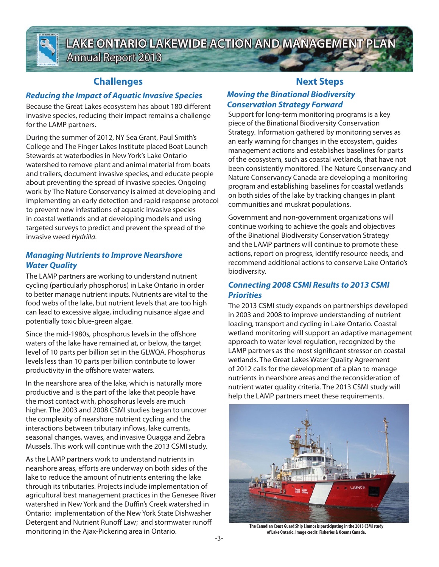

**LAKE ONTARIO LAKEWIDE ACTION AND MANAGEMENT PLA Annual Report 2013** 

## **Challenges**

## *Reducing the Impact of Aquatic Invasive Species*

Because the Great Lakes ecosystem has about 180 different invasive species, reducing their impact remains a challenge for the LAMP partners.

During the summer of 2012, NY Sea Grant, Paul Smith's College and The Finger Lakes Institute placed Boat Launch Stewards at waterbodies in New York's Lake Ontario watershed to remove plant and animal material from boats and trailers, document invasive species, and educate people about preventing the spread of invasive species. Ongoing work by The Nature Conservancy is aimed at developing and implementing an early detection and rapid response protocol to prevent new infestations of aquatic invasive species in coastal wetlands and at developing models and using targeted surveys to predict and prevent the spread of the invasive weed *Hydrilla*.

### *Managing Nutrients to Improve Nearshore Water Quality*

The LAMP partners are working to understand nutrient cycling (particularly phosphorus) in Lake Ontario in order to better manage nutrient inputs. Nutrients are vital to the food webs of the lake, but nutrient levels that are too high can lead to excessive algae, including nuisance algae and potentially toxic blue-green algae.

Since the mid-1980s, phosphorus levels in the offshore waters of the lake have remained at, or below, the target level of 10 parts per billion set in the GLWQA. Phosphorus levels less than 10 parts per billion contribute to lower productivity in the offshore water waters.

In the nearshore area of the lake, which is naturally more productive and is the part of the lake that people have the most contact with, phosphorus levels are much higher. The 2003 and 2008 CSMI studies began to uncover the complexity of nearshore nutrient cycling and the interactions between tributary inflows, lake currents, seasonal changes, waves, and invasive Quagga and Zebra Mussels. This work will continue with the 2013 CSMI study.

As the LAMP partners work to understand nutrients in nearshore areas, efforts are underway on both sides of the lake to reduce the amount of nutrients entering the lake through its tributaries. Projects include implementation of agricultural best management practices in the Genesee River watershed in New York and the Duffin's Creek watershed in Ontario; implementation of the New York State Dishwasher Detergent and Nutrient Runoff Law; and stormwater runoff monitoring in the Ajax-Pickering area in Ontario.

## **Next Steps**

#### *Moving the Binational Biodiversity Conservation Strategy Forward*

Support for long-term monitoring programs is a key piece of the Binational Biodiversity Conservation Strategy. Information gathered by monitoring serves as an early warning for changes in the ecosystem, guides management actions and establishes baselines for parts of the ecosystem, such as coastal wetlands, that have not been consistently monitored. The Nature Conservancy and Nature Conservancy Canada are developing a monitoring program and establishing baselines for coastal wetlands on both sides of the lake by tracking changes in plant communities and muskrat populations.

Government and non-government organizations will continue working to achieve the goals and objectives of the Binational Biodiversity Conservation Strategy and the LAMP partners will continue to promote these actions, report on progress, identify resource needs, and recommend additional actions to conserve Lake Ontario's biodiversity.

#### *Connecting 2008 CSMI Results to 2013 CSMI Priorities*

The 2013 CSMI study expands on partnerships developed in 2003 and 2008 to improve understanding of nutrient loading, transport and cycling in Lake Ontario. Coastal wetland monitoring will support an adaptive management approach to water level regulation, recognized by the LAMP partners as the most significant stressor on coastal wetlands. The Great Lakes Water Quality Agreement of 2012 calls for the development of a plan to manage nutrients in nearshore areas and the reconsideration of nutrient water quality criteria. The 2013 CSMI study will help the LAMP partners meet these requirements.



**The Canadian Coast Guard Ship Limnos is participating in the 2013 CSMI study of Lake Ontario. Image credit: Fisheries & Oceans Canada.**